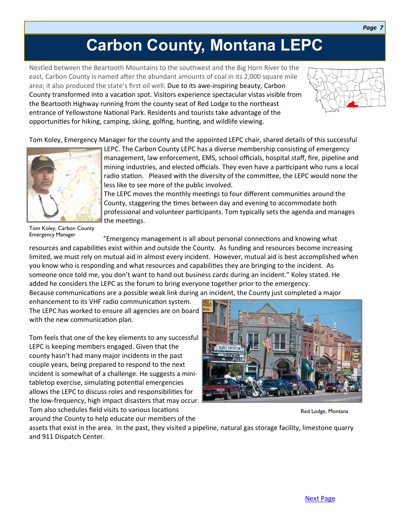## **Carbon County, Montana LEPC**

Nestled between the Beartooth Mountains to the southwest and the Big Horn River to the east, Carbon County is named after the abundant amounts of coal in its 2,000 square mile area; it also produced the state's first oil well. Due to its awe-inspiring beauty, Carbon County transformed into a vacation spot. Visitors experience spectacular vistas visible from the Beartooth Highway running from the county seat of Red Lodge to the northeast entrance of Yellowstone National Park. Residents and tourists take advantage of the opportunities for hiking, camping, skiing, golfing, hunting, and wildlife viewing.



*Page 7*

Tom Koley, Emergency Manager for the county and the appointed LEPC chair, shared details of this successful



mining industries, and elected officials. They even have a participant who runs a local radio station. Pleased with the diversity of the committee, the LEPC would none the less like to see more of the public involved. The LEPC moves the monthly meetings to four different communities around the County, staggering the times between day and evening to accommodate both

LEPC. The Carbon County LEPC has a diverse membership consisting of emergency management, law enforcement, EMS, school officials, hospital staff, fire, pipeline and

professional and volunteer participants. Tom typically sets the agenda and manages the meetings.

Tom Koley, Carbon County Emergency Manager

"Emergency management is all about personal connections and knowing what resources and capabilities exist within and outside the County. As funding and resources become increasing limited, we must rely on mutual aid in almost every incident. However, mutual aid is best accomplished when you know who is responding and what resources and capabilities they are bringing to the incident. As someone once told me, you don't want to hand out business cards during an incident." Koley stated. He added he considers the LEPC as the forum to bring everyone together prior to the emergency. Because communications are a possible weak link during an incident, the County just completed a major

enhancement to its VHF radio communication system. The LEPC has worked to ensure all agencies are on board with the new communication plan.

Tom feels that one of the key elements to any successful LEPC is keeping members engaged. Given that the county hasn't had many major incidents in the past couple years, being prepared to respond to the next incident is somewhat of a challenge. He suggests a minitabletop exercise, simulating potential emergencies allows the LEPC to discuss roles and responsibilities for the low-frequency, high impact disasters that may occur. Tom also schedules field visits to various locations around the County to help educate our members of the



Red Lodge, Montana

assets that exist in the area. In the past, they visited a pipeline, natural gas storage facility, limestone quarry and 911 Dispatch Center.